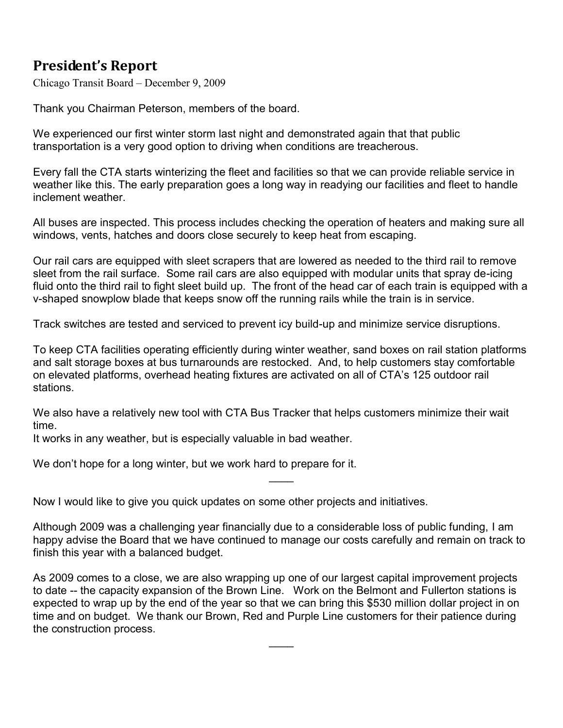## **President's Report**

Chicago Transit Board – December 9, 2009

Thank you Chairman Peterson, members of the board.

We experienced our first winter storm last night and demonstrated again that that public transportation is a very good option to driving when conditions are treacherous.

Every fall the CTA starts winterizing the fleet and facilities so that we can provide reliable service in weather like this. The early preparation goes a long way in readying our facilities and fleet to handle inclement weather.

All buses are inspected. This process includes checking the operation of heaters and making sure all windows, vents, hatches and doors close securely to keep heat from escaping.

Our rail cars are equipped with sleet scrapers that are lowered as needed to the third rail to remove sleet from the rail surface. Some rail cars are also equipped with modular units that spray de-icing fluid onto the third rail to fight sleet build up. The front of the head car of each train is equipped with a v-shaped snowplow blade that keeps snow off the running rails while the train is in service.

Track switches are tested and serviced to prevent icy build-up and minimize service disruptions.

To keep CTA facilities operating efficiently during winter weather, sand boxes on rail station platforms and salt storage boxes at bus turnarounds are restocked. And, to help customers stay comfortable on elevated platforms, overhead heating fixtures are activated on all of CTA's 125 outdoor rail stations.

We also have a relatively new tool with CTA Bus Tracker that helps customers minimize their wait time.

It works in any weather, but is especially valuable in bad weather.

We don't hope for a long winter, but we work hard to prepare for it.

Now I would like to give you quick updates on some other projects and initiatives.

Although 2009 was a challenging year financially due to a considerable loss of public funding, I am happy advise the Board that we have continued to manage our costs carefully and remain on track to finish this year with a balanced budget.

 $\overline{\phantom{a}}$ 

As 2009 comes to a close, we are also wrapping up one of our largest capital improvement projects to date -- the capacity expansion of the Brown Line. Work on the Belmont and Fullerton stations is expected to wrap up by the end of the year so that we can bring this \$530 million dollar project in on time and on budget. We thank our Brown, Red and Purple Line customers for their patience during the construction process.

 $\overline{\phantom{a}}$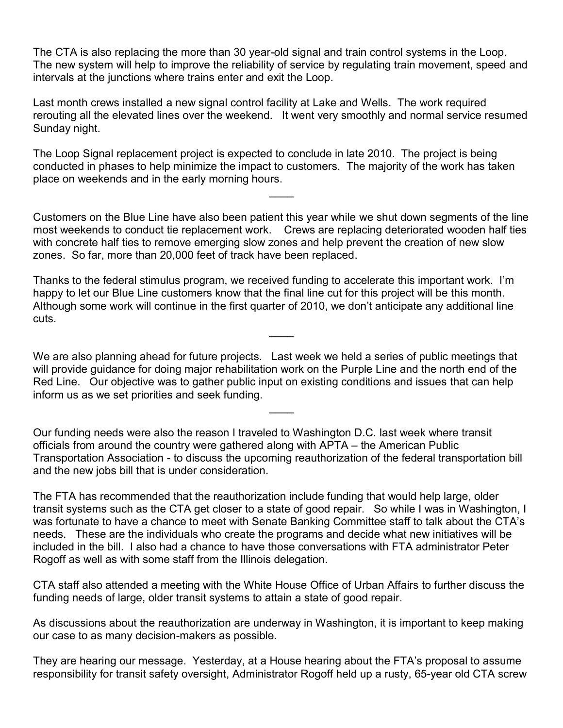The CTA is also replacing the more than 30 year-old signal and train control systems in the Loop. The new system will help to improve the reliability of service by regulating train movement, speed and intervals at the junctions where trains enter and exit the Loop.

Last month crews installed a new signal control facility at Lake and Wells. The work required rerouting all the elevated lines over the weekend. It went very smoothly and normal service resumed Sunday night.

The Loop Signal replacement project is expected to conclude in late 2010. The project is being conducted in phases to help minimize the impact to customers. The majority of the work has taken place on weekends and in the early morning hours.

Customers on the Blue Line have also been patient this year while we shut down segments of the line most weekends to conduct tie replacement work. Crews are replacing deteriorated wooden half ties with concrete half ties to remove emerging slow zones and help prevent the creation of new slow zones. So far, more than 20,000 feet of track have been replaced.

 $\overline{\phantom{a}}$ 

Thanks to the federal stimulus program, we received funding to accelerate this important work. I'm happy to let our Blue Line customers know that the final line cut for this project will be this month. Although some work will continue in the first quarter of 2010, we don't anticipate any additional line cuts.  $\overline{\phantom{a}}$ 

We are also planning ahead for future projects. Last week we held a series of public meetings that will provide guidance for doing major rehabilitation work on the Purple Line and the north end of the Red Line. Our objective was to gather public input on existing conditions and issues that can help inform us as we set priorities and seek funding.

Our funding needs were also the reason I traveled to Washington D.C. last week where transit officials from around the country were gathered along with APTA – the American Public Transportation Association - to discuss the upcoming reauthorization of the federal transportation bill and the new jobs bill that is under consideration.

 $\overline{\phantom{a}}$ 

The FTA has recommended that the reauthorization include funding that would help large, older transit systems such as the CTA get closer to a state of good repair. So while I was in Washington, I was fortunate to have a chance to meet with Senate Banking Committee staff to talk about the CTA's needs. These are the individuals who create the programs and decide what new initiatives will be included in the bill. I also had a chance to have those conversations with FTA administrator Peter Rogoff as well as with some staff from the Illinois delegation.

CTA staff also attended a meeting with the White House Office of Urban Affairs to further discuss the funding needs of large, older transit systems to attain a state of good repair.

As discussions about the reauthorization are underway in Washington, it is important to keep making our case to as many decision-makers as possible.

They are hearing our message. Yesterday, at a House hearing about the FTA's proposal to assume responsibility for transit safety oversight, Administrator Rogoff held up a rusty, 65-year old CTA screw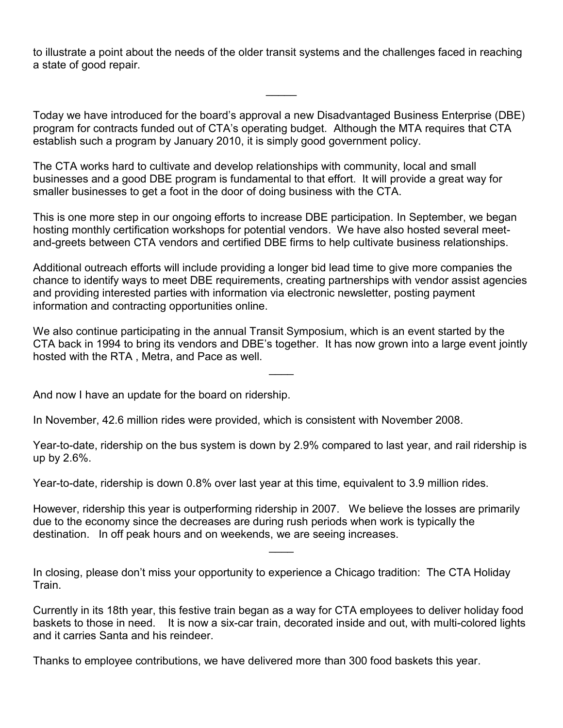to illustrate a point about the needs of the older transit systems and the challenges faced in reaching a state of good repair.

Today we have introduced for the board's approval a new Disadvantaged Business Enterprise (DBE) program for contracts funded out of CTA's operating budget. Although the MTA requires that CTA establish such a program by January 2010, it is simply good government policy.

 $\frac{1}{2}$ 

The CTA works hard to cultivate and develop relationships with community, local and small businesses and a good DBE program is fundamental to that effort. It will provide a great way for smaller businesses to get a foot in the door of doing business with the CTA.

This is one more step in our ongoing efforts to increase DBE participation. In September, we began hosting monthly certification workshops for potential vendors. We have also hosted several meetand-greets between CTA vendors and certified DBE firms to help cultivate business relationships.

Additional outreach efforts will include providing a longer bid lead time to give more companies the chance to identify ways to meet DBE requirements, creating partnerships with vendor assist agencies and providing interested parties with information via electronic newsletter, posting payment information and contracting opportunities online.

We also continue participating in the annual Transit Symposium, which is an event started by the CTA back in 1994 to bring its vendors and DBE's together. It has now grown into a large event jointly hosted with the RTA , Metra, and Pace as well.

 $\overline{\phantom{a}}$ 

And now I have an update for the board on ridership.

In November, 42.6 million rides were provided, which is consistent with November 2008.

Year-to-date, ridership on the bus system is down by 2.9% compared to last year, and rail ridership is up by 2.6%.

Year-to-date, ridership is down 0.8% over last year at this time, equivalent to 3.9 million rides.

However, ridership this year is outperforming ridership in 2007. We believe the losses are primarily due to the economy since the decreases are during rush periods when work is typically the destination. In off peak hours and on weekends, we are seeing increases.

 $\overline{\phantom{a}}$ 

In closing, please don't miss your opportunity to experience a Chicago tradition: The CTA Holiday Train.

Currently in its 18th year, this festive train began as a way for CTA employees to deliver holiday food baskets to those in need. It is now a six-car train, decorated inside and out, with multi-colored lights and it carries Santa and his reindeer.

Thanks to employee contributions, we have delivered more than 300 food baskets this year.